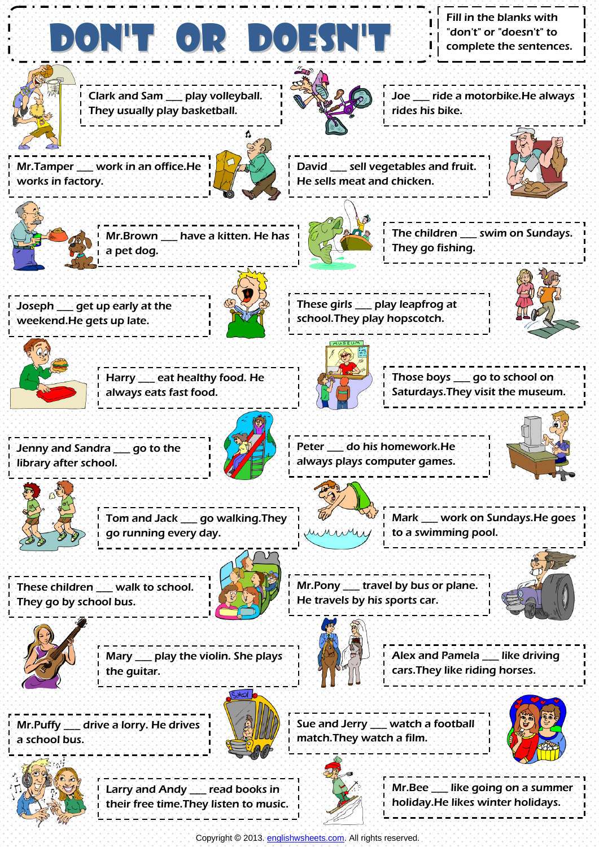DON'T OR DOES Clark and Sam \_\_\_ play volleyball. They usually play basketball. Fill in the blanks with "don't" or "doesn't" to complete the sentences. Joe \_\_\_ ride a motorbike.He always rides his bike. Mr.Tamper \_\_\_ work in an office.He works in factory. David \_\_\_ sell vegetables and fruit. He sells meat and chicken. Mr.Brown \_\_\_ have a kitten. He has a pet dog. The children \_\_\_ swim on Sundays. They go fishing. Joseph \_\_\_ get up early at the weekend.He gets up late. These girls \_\_\_ play leapfrog at school.They play hopscotch. Harry \_\_\_ eat healthy food. He always eats fast food. Those boys \_\_\_ go to school on Saturdays.They visit the museum. Jenny and Sandra \_\_\_ go to the library after school. Peter \_\_\_ do his homework.He always plays computer games. Tom and Jack \_\_\_ go walking.They go running every day. Mark \_\_\_ work on Sundays.He goes to a swimming pool. These children \_\_\_ walk to school. They go by school bus. Mr.Pony \_\_\_ travel by bus or plane. He travels by his sports car. Alex and Pamela \_\_\_ like driving cars.They like riding horses. Mary \_\_\_ play the violin. She plays the guitar. Sue and Jerry **Watch a football** match.They watch a film. Mr.Puffy \_\_\_ drive a lorry. He drives a school bus. Larry and Andy \_\_\_ read books in Mr.Bee \_\_\_ like going on a summer

Copyright © 2013[. englishwsheets.com.](http://www.englishwsheets.com/) All rights reserved.

holiday.He likes winter holidays.

their free time.They listen to music.